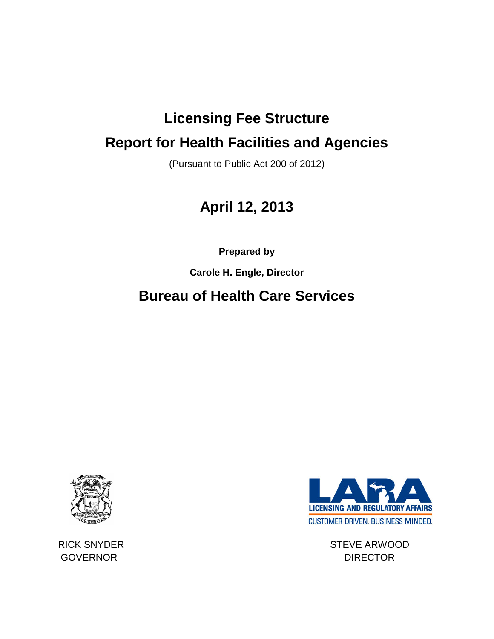# **Licensing Fee Structure Report for Health Facilities and Agencies**

(Pursuant to Public Act 200 of 2012)

# **April 12, 2013**

**Prepared by** 

**Carole H. Engle, Director**

# **Bureau of Health Care Services**





RICK SNYDER STEVE ARWOOD GOVERNOR DIRECTOR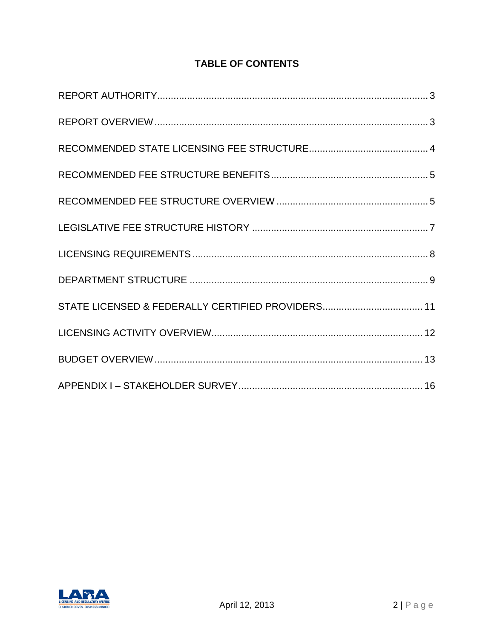#### **TABLE OF CONTENTS**

| STATE LICENSED & FEDERALLY CERTIFIED PROVIDERS 11 |
|---------------------------------------------------|
|                                                   |
|                                                   |

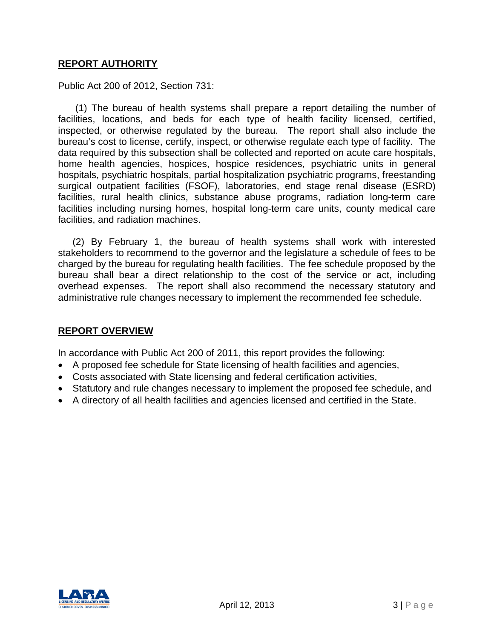#### <span id="page-2-0"></span>**REPORT AUTHORITY**

Public Act 200 of 2012, Section 731:

(1) The bureau of health systems shall prepare a report detailing the number of facilities, locations, and beds for each type of health facility licensed, certified, inspected, or otherwise regulated by the bureau. The report shall also include the bureau's cost to license, certify, inspect, or otherwise regulate each type of facility. The data required by this subsection shall be collected and reported on acute care hospitals, home health agencies, hospices, hospice residences, psychiatric units in general hospitals, psychiatric hospitals, partial hospitalization psychiatric programs, freestanding surgical outpatient facilities (FSOF), laboratories, end stage renal disease (ESRD) facilities, rural health clinics, substance abuse programs, radiation long-term care facilities including nursing homes, hospital long-term care units, county medical care facilities, and radiation machines.

(2) By February 1, the bureau of health systems shall work with interested stakeholders to recommend to the governor and the legislature a schedule of fees to be charged by the bureau for regulating health facilities. The fee schedule proposed by the bureau shall bear a direct relationship to the cost of the service or act, including overhead expenses. The report shall also recommend the necessary statutory and administrative rule changes necessary to implement the recommended fee schedule.

#### <span id="page-2-1"></span>**REPORT OVERVIEW**

In accordance with Public Act 200 of 2011, this report provides the following:

- A proposed fee schedule for State licensing of health facilities and agencies,
- Costs associated with State licensing and federal certification activities,
- Statutory and rule changes necessary to implement the proposed fee schedule, and
- A directory of all health facilities and agencies licensed and certified in the State.

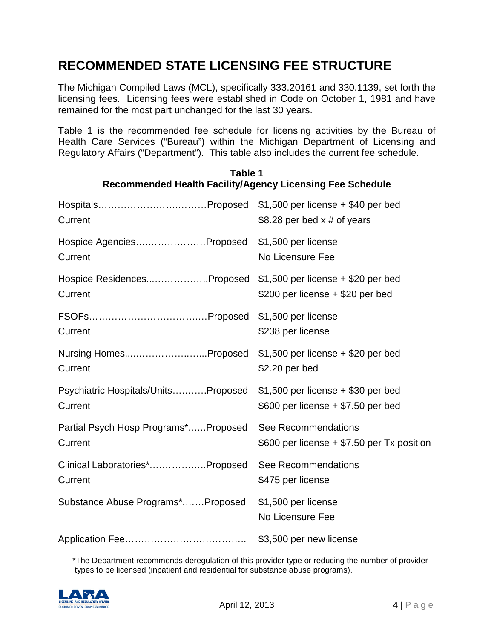# <span id="page-3-0"></span>**RECOMMENDED STATE LICENSING FEE STRUCTURE**

The Michigan Compiled Laws (MCL), specifically 333.20161 and 330.1139, set forth the licensing fees. Licensing fees were established in Code on October 1, 1981 and have remained for the most part unchanged for the last 30 years.

Table 1 is the recommended fee schedule for licensing activities by the Bureau of Health Care Services ("Bureau") within the Michigan Department of Licensing and Regulatory Affairs ("Department"). This table also includes the current fee schedule.

|                                                                          | $$1,500$ per license + \$40 per bed          |
|--------------------------------------------------------------------------|----------------------------------------------|
| Current                                                                  | \$8.28 per bed $x \#$ of years               |
| Hospice AgenciesProposed                                                 | \$1,500 per license                          |
| Current                                                                  | No Licensure Fee                             |
| Hospice ResidencesProposed \$1,500 per license + \$20 per bed<br>Current | \$200 per license $+$ \$20 per bed           |
| Current                                                                  | \$238 per license                            |
| Nursing HomesProposed                                                    | $$1,500$ per license + \$20 per bed          |
| Current                                                                  | \$2.20 per bed                               |
| Psychiatric Hospitals/UnitsProposed                                      | $$1,500$ per license + \$30 per bed          |
| Current                                                                  | $$600$ per license $+ $7.50$ per bed         |
| Partial Psych Hosp Programs*Proposed                                     | See Recommendations                          |
| Current                                                                  | \$600 per license $+$ \$7.50 per Tx position |
| Clinical Laboratories*Proposed                                           | See Recommendations                          |
| Current                                                                  | \$475 per license                            |
| Substance Abuse Programs*Proposed                                        | \$1,500 per license<br>No Licensure Fee      |
|                                                                          | \$3,500 per new license                      |

#### **Table 1 Recommended Health Facility/Agency Licensing Fee Schedule**

\*The Department recommends deregulation of this provider type or reducing the number of provider types to be licensed (inpatient and residential for substance abuse programs).

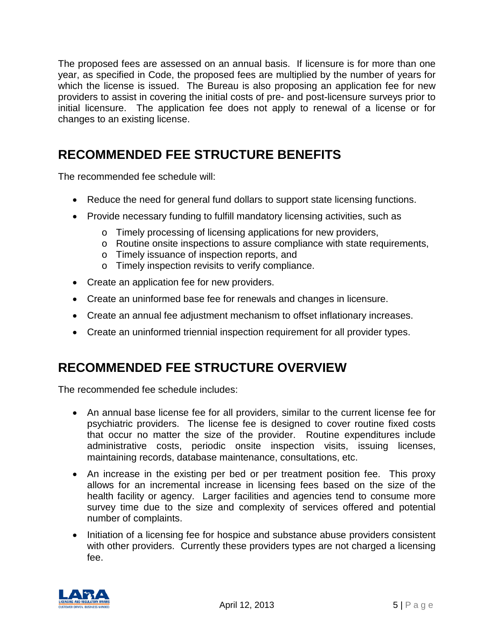The proposed fees are assessed on an annual basis. If licensure is for more than one year, as specified in Code, the proposed fees are multiplied by the number of years for which the license is issued. The Bureau is also proposing an application fee for new providers to assist in covering the initial costs of pre- and post-licensure surveys prior to initial licensure. The application fee does not apply to renewal of a license or for changes to an existing license.

# <span id="page-4-0"></span>**RECOMMENDED FEE STRUCTURE BENEFITS**

The recommended fee schedule will:

- Reduce the need for general fund dollars to support state licensing functions.
- Provide necessary funding to fulfill mandatory licensing activities, such as
	- o Timely processing of licensing applications for new providers,
	- o Routine onsite inspections to assure compliance with state requirements,
	- o Timely issuance of inspection reports, and
	- o Timely inspection revisits to verify compliance.
- Create an application fee for new providers.
- Create an uninformed base fee for renewals and changes in licensure.
- Create an annual fee adjustment mechanism to offset inflationary increases.
- Create an uninformed triennial inspection requirement for all provider types.

## <span id="page-4-1"></span>**RECOMMENDED FEE STRUCTURE OVERVIEW**

The recommended fee schedule includes:

- An annual base license fee for all providers, similar to the current license fee for psychiatric providers. The license fee is designed to cover routine fixed costs that occur no matter the size of the provider. Routine expenditures include administrative costs, periodic onsite inspection visits, issuing licenses, maintaining records, database maintenance, consultations, etc.
- An increase in the existing per bed or per treatment position fee. This proxy allows for an incremental increase in licensing fees based on the size of the health facility or agency. Larger facilities and agencies tend to consume more survey time due to the size and complexity of services offered and potential number of complaints.
- Initiation of a licensing fee for hospice and substance abuse providers consistent with other providers. Currently these providers types are not charged a licensing fee.

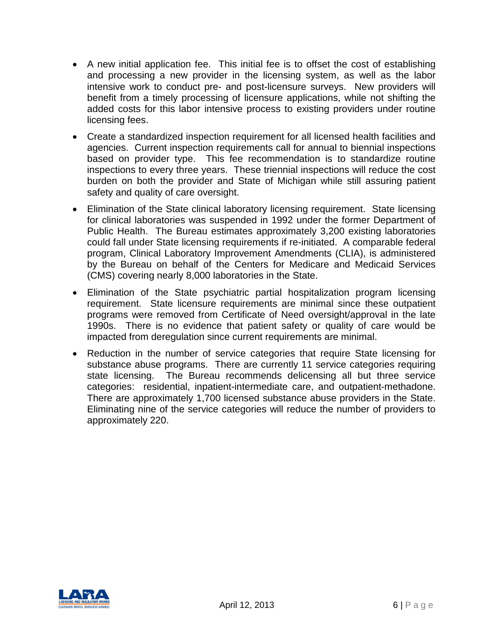- A new initial application fee. This initial fee is to offset the cost of establishing and processing a new provider in the licensing system, as well as the labor intensive work to conduct pre- and post-licensure surveys. New providers will benefit from a timely processing of licensure applications, while not shifting the added costs for this labor intensive process to existing providers under routine licensing fees.
- Create a standardized inspection requirement for all licensed health facilities and agencies. Current inspection requirements call for annual to biennial inspections based on provider type. This fee recommendation is to standardize routine inspections to every three years. These triennial inspections will reduce the cost burden on both the provider and State of Michigan while still assuring patient safety and quality of care oversight.
- Elimination of the State clinical laboratory licensing requirement. State licensing for clinical laboratories was suspended in 1992 under the former Department of Public Health. The Bureau estimates approximately 3,200 existing laboratories could fall under State licensing requirements if re-initiated. A comparable federal program, Clinical Laboratory Improvement Amendments (CLIA), is administered by the Bureau on behalf of the Centers for Medicare and Medicaid Services (CMS) covering nearly 8,000 laboratories in the State.
- Elimination of the State psychiatric partial hospitalization program licensing requirement. State licensure requirements are minimal since these outpatient programs were removed from Certificate of Need oversight/approval in the late 1990s. There is no evidence that patient safety or quality of care would be impacted from deregulation since current requirements are minimal.
- Reduction in the number of service categories that require State licensing for substance abuse programs. There are currently 11 service categories requiring state licensing. The Bureau recommends delicensing all but three service categories: residential, inpatient-intermediate care, and outpatient-methadone. There are approximately 1,700 licensed substance abuse providers in the State. Eliminating nine of the service categories will reduce the number of providers to approximately 220.

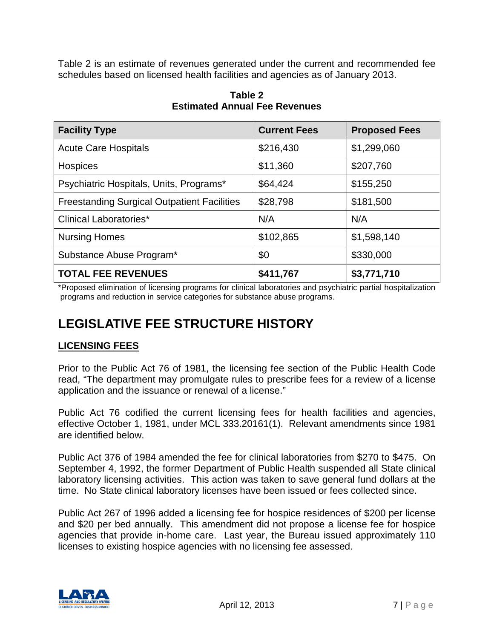Table 2 is an estimate of revenues generated under the current and recommended fee schedules based on licensed health facilities and agencies as of January 2013.

| <b>Facility Type</b>                               | <b>Current Fees</b> | <b>Proposed Fees</b> |
|----------------------------------------------------|---------------------|----------------------|
| <b>Acute Care Hospitals</b>                        | \$216,430           | \$1,299,060          |
| Hospices                                           | \$11,360            | \$207,760            |
| Psychiatric Hospitals, Units, Programs*            | \$64,424            | \$155,250            |
| <b>Freestanding Surgical Outpatient Facilities</b> | \$28,798            | \$181,500            |
| <b>Clinical Laboratories*</b>                      | N/A                 | N/A                  |
| <b>Nursing Homes</b>                               | \$102,865           | \$1,598,140          |
| Substance Abuse Program*                           | \$0                 | \$330,000            |
| <b>TOTAL FEE REVENUES</b>                          | \$411,767           | \$3,771,710          |

**Table 2 Estimated Annual Fee Revenues**

\*Proposed elimination of licensing programs for clinical laboratories and psychiatric partial hospitalization programs and reduction in service categories for substance abuse programs.

# <span id="page-6-0"></span>**LEGISLATIVE FEE STRUCTURE HISTORY**

#### **LICENSING FEES**

Prior to the Public Act 76 of 1981, the licensing fee section of the Public Health Code read, "The department may promulgate rules to prescribe fees for a review of a license application and the issuance or renewal of a license."

Public Act 76 codified the current licensing fees for health facilities and agencies, effective October 1, 1981, under MCL 333.20161(1). Relevant amendments since 1981 are identified below.

Public Act 376 of 1984 amended the fee for clinical laboratories from \$270 to \$475. On September 4, 1992, the former Department of Public Health suspended all State clinical laboratory licensing activities. This action was taken to save general fund dollars at the time. No State clinical laboratory licenses have been issued or fees collected since.

Public Act 267 of 1996 added a licensing fee for hospice residences of \$200 per license and \$20 per bed annually. This amendment did not propose a license fee for hospice agencies that provide in-home care. Last year, the Bureau issued approximately 110 licenses to existing hospice agencies with no licensing fee assessed.

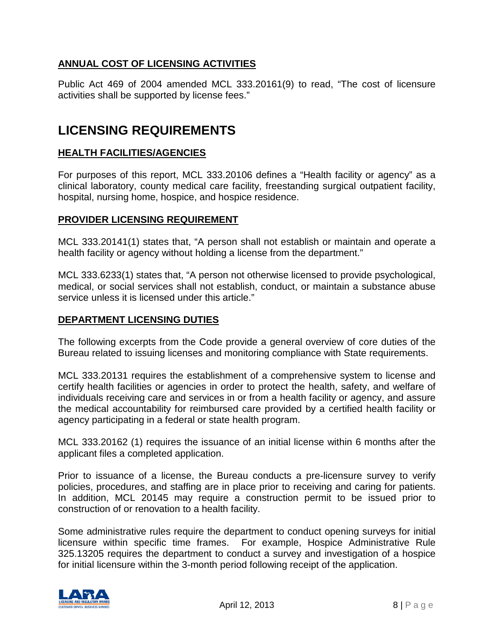#### **ANNUAL COST OF LICENSING ACTIVITIES**

Public Act 469 of 2004 amended MCL 333.20161(9) to read, "The cost of licensure activities shall be supported by license fees."

## <span id="page-7-0"></span>**LICENSING REQUIREMENTS**

#### **HEALTH FACILITIES/AGENCIES**

For purposes of this report, MCL 333.20106 defines a "Health facility or agency" as a clinical laboratory, county medical care facility, freestanding surgical outpatient facility, hospital, nursing home, hospice, and hospice residence.

#### **PROVIDER LICENSING REQUIREMENT**

MCL 333.20141(1) states that, "A person shall not establish or maintain and operate a health facility or agency without holding a license from the department."

MCL 333.6233(1) states that, "A person not otherwise licensed to provide psychological, medical, or social services shall not establish, conduct, or maintain a substance abuse service unless it is licensed under this article."

#### **DEPARTMENT LICENSING DUTIES**

The following excerpts from the Code provide a general overview of core duties of the Bureau related to issuing licenses and monitoring compliance with State requirements.

MCL 333.20131 requires the establishment of a comprehensive system to license and certify health facilities or agencies in order to protect the health, safety, and welfare of individuals receiving care and services in or from a health facility or agency, and assure the medical accountability for reimbursed care provided by a certified health facility or agency participating in a federal or state health program.

MCL 333.20162 (1) requires the issuance of an initial license within 6 months after the applicant files a completed application.

Prior to issuance of a license, the Bureau conducts a pre-licensure survey to verify policies, procedures, and staffing are in place prior to receiving and caring for patients. In addition, MCL 20145 may require a construction permit to be issued prior to construction of or renovation to a health facility.

Some administrative rules require the department to conduct opening surveys for initial licensure within specific time frames. For example, Hospice Administrative Rule 325.13205 requires the department to conduct a survey and investigation of a hospice for initial licensure within the 3-month period following receipt of the application.

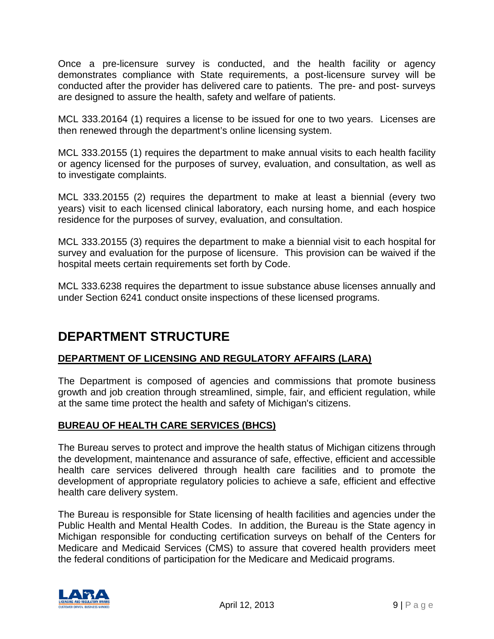Once a pre-licensure survey is conducted, and the health facility or agency demonstrates compliance with State requirements, a post-licensure survey will be conducted after the provider has delivered care to patients. The pre- and post- surveys are designed to assure the health, safety and welfare of patients.

MCL 333.20164 (1) requires a license to be issued for one to two years. Licenses are then renewed through the department's online licensing system.

MCL 333.20155 (1) requires the department to make annual visits to each health facility or agency licensed for the purposes of survey, evaluation, and consultation, as well as to investigate complaints.

MCL 333.20155 (2) requires the department to make at least a biennial (every two years) visit to each licensed clinical laboratory, each nursing home, and each hospice residence for the purposes of survey, evaluation, and consultation.

MCL 333.20155 (3) requires the department to make a biennial visit to each hospital for survey and evaluation for the purpose of licensure. This provision can be waived if the hospital meets certain requirements set forth by Code.

<span id="page-8-0"></span>MCL 333.6238 requires the department to issue substance abuse licenses annually and under Section 6241 conduct onsite inspections of these licensed programs.

# **DEPARTMENT STRUCTURE**

#### **DEPARTMENT OF LICENSING AND REGULATORY AFFAIRS (LARA)**

The Department is composed of agencies and commissions that promote business growth and job creation through streamlined, simple, fair, and efficient regulation, while at the same time protect the health and safety of Michigan's citizens.

#### **BUREAU OF HEALTH CARE SERVICES (BHCS)**

The Bureau serves to protect and improve the health status of Michigan citizens through the development, maintenance and assurance of safe, effective, efficient and accessible health care services delivered through health care facilities and to promote the development of appropriate regulatory policies to achieve a safe, efficient and effective health care delivery system.

The Bureau is responsible for State licensing of health facilities and agencies under the Public Health and Mental Health Codes. In addition, the Bureau is the State agency in Michigan responsible for conducting certification surveys on behalf of the Centers for Medicare and Medicaid Services (CMS) to assure that covered health providers meet the federal conditions of participation for the Medicare and Medicaid programs.

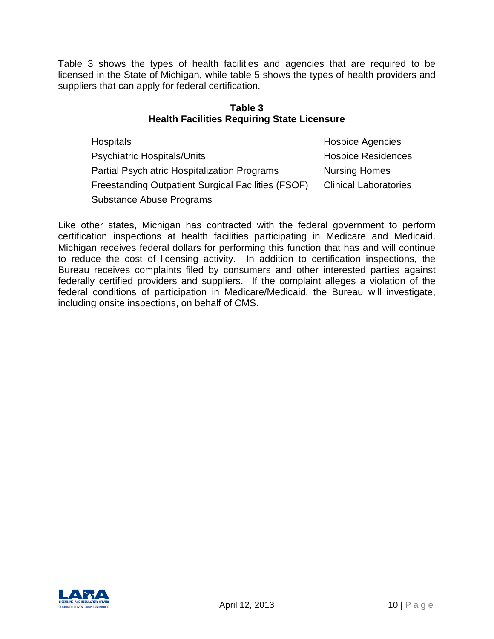Table 3 shows the types of health facilities and agencies that are required to be licensed in the State of Michigan, while table 5 shows the types of health providers and suppliers that can apply for federal certification.

#### **Table 3 Health Facilities Requiring State Licensure**

| Hospitals                                                 | <b>Hospice Agencies</b>      |
|-----------------------------------------------------------|------------------------------|
| Psychiatric Hospitals/Units                               | <b>Hospice Residences</b>    |
| <b>Partial Psychiatric Hospitalization Programs</b>       | <b>Nursing Homes</b>         |
| <b>Freestanding Outpatient Surgical Facilities (FSOF)</b> | <b>Clinical Laboratories</b> |
| <b>Substance Abuse Programs</b>                           |                              |

Like other states, Michigan has contracted with the federal government to perform certification inspections at health facilities participating in Medicare and Medicaid. Michigan receives federal dollars for performing this function that has and will continue to reduce the cost of licensing activity. In addition to certification inspections, the Bureau receives complaints filed by consumers and other interested parties against federally certified providers and suppliers. If the complaint alleges a violation of the federal conditions of participation in Medicare/Medicaid, the Bureau will investigate, including onsite inspections, on behalf of CMS.

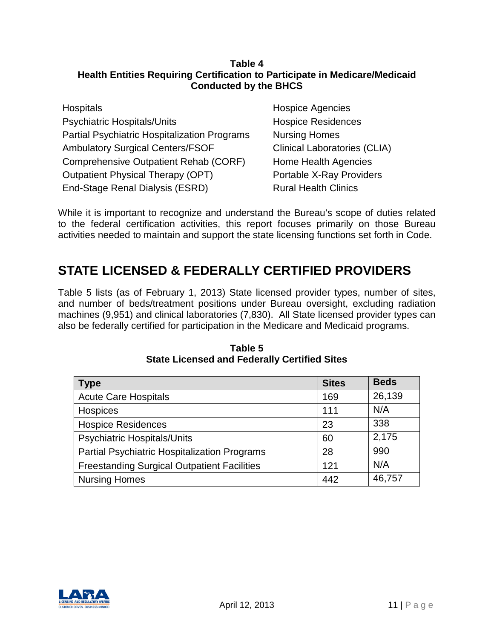#### **Table 4 Health Entities Requiring Certification to Participate in Medicare/Medicaid Conducted by the BHCS**

| <b>Hospitals</b>                                    |
|-----------------------------------------------------|
| <b>Psychiatric Hospitals/Units</b>                  |
| <b>Partial Psychiatric Hospitalization Programs</b> |
| <b>Ambulatory Surgical Centers/FSOF</b>             |
| Comprehensive Outpatient Rehab (CORF)               |
| <b>Outpatient Physical Therapy (OPT)</b>            |
| End-Stage Renal Dialysis (ESRD)                     |

Hospice Agencies Hospice Residences **Nursing Homes** Clinical Laboratories (CLIA) Home Health Agencies Portable X-Ray Providers **Rural Health Clinics** 

While it is important to recognize and understand the Bureau's scope of duties related to the federal certification activities, this report focuses primarily on those Bureau activities needed to maintain and support the state licensing functions set forth in Code.

# <span id="page-10-0"></span>**STATE LICENSED & FEDERALLY CERTIFIED PROVIDERS**

Table 5 lists (as of February 1, 2013) State licensed provider types, number of sites, and number of beds/treatment positions under Bureau oversight, excluding radiation machines (9,951) and clinical laboratories (7,830). All State licensed provider types can also be federally certified for participation in the Medicare and Medicaid programs.

| Type                                                | <b>Sites</b> | <b>Beds</b> |
|-----------------------------------------------------|--------------|-------------|
| <b>Acute Care Hospitals</b>                         | 169          | 26,139      |
| Hospices                                            | 111          | N/A         |
| <b>Hospice Residences</b>                           | 23           | 338         |
| <b>Psychiatric Hospitals/Units</b>                  | 60           | 2,175       |
| <b>Partial Psychiatric Hospitalization Programs</b> | 28           | 990         |
| <b>Freestanding Surgical Outpatient Facilities</b>  | 121          | N/A         |
| <b>Nursing Homes</b>                                | 442          | 46,757      |

**Table 5 State Licensed and Federally Certified Sites**

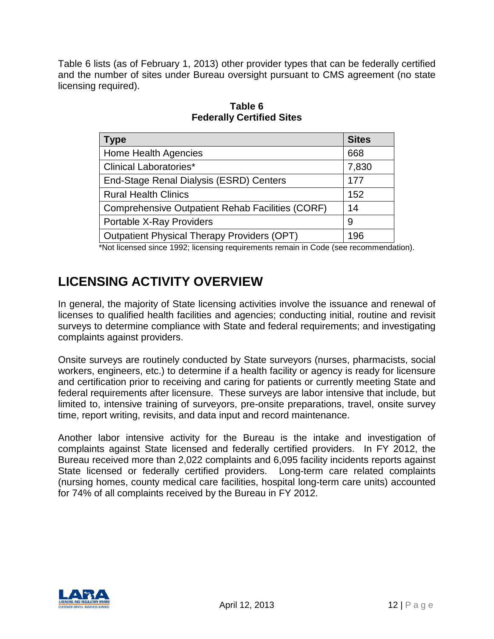Table 6 lists (as of February 1, 2013) other provider types that can be federally certified and the number of sites under Bureau oversight pursuant to CMS agreement (no state licensing required).

| <b>Sites</b>                                                                     |
|----------------------------------------------------------------------------------|
| 668                                                                              |
| 7,830                                                                            |
| 177                                                                              |
| 152                                                                              |
| 14                                                                               |
| 9                                                                                |
| 196                                                                              |
| *Net liganaed ainae 1000; liganaing requiremente remain in Cade (ace resempender |

**Table 6 Federally Certified Sites**

\*Not licensed since 1992; licensing requirements remain in Code (see recommendation).

# <span id="page-11-0"></span>**LICENSING ACTIVITY OVERVIEW**

In general, the majority of State licensing activities involve the issuance and renewal of licenses to qualified health facilities and agencies; conducting initial, routine and revisit surveys to determine compliance with State and federal requirements; and investigating complaints against providers.

Onsite surveys are routinely conducted by State surveyors (nurses, pharmacists, social workers, engineers, etc.) to determine if a health facility or agency is ready for licensure and certification prior to receiving and caring for patients or currently meeting State and federal requirements after licensure. These surveys are labor intensive that include, but limited to, intensive training of surveyors, pre-onsite preparations, travel, onsite survey time, report writing, revisits, and data input and record maintenance.

<span id="page-11-1"></span>Another labor intensive activity for the Bureau is the intake and investigation of complaints against State licensed and federally certified providers. In FY 2012, the Bureau received more than 2,022 complaints and 6,095 facility incidents reports against State licensed or federally certified providers. Long-term care related complaints (nursing homes, county medical care facilities, hospital long-term care units) accounted for 74% of all complaints received by the Bureau in FY 2012.

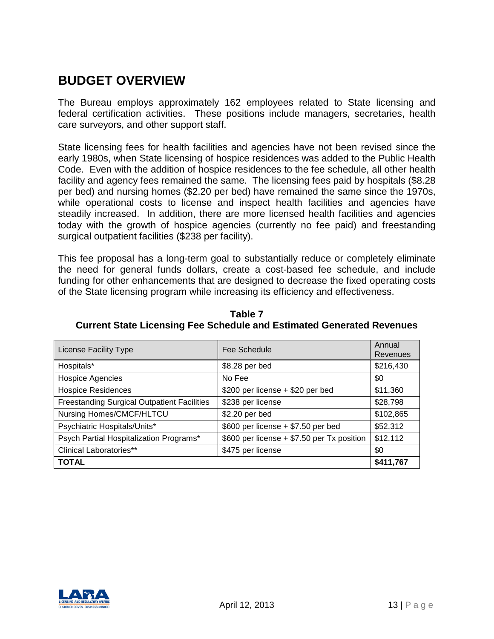# **BUDGET OVERVIEW**

The Bureau employs approximately 162 employees related to State licensing and federal certification activities. These positions include managers, secretaries, health care surveyors, and other support staff.

State licensing fees for health facilities and agencies have not been revised since the early 1980s, when State licensing of hospice residences was added to the Public Health Code. Even with the addition of hospice residences to the fee schedule, all other health facility and agency fees remained the same. The licensing fees paid by hospitals (\$8.28 per bed) and nursing homes (\$2.20 per bed) have remained the same since the 1970s, while operational costs to license and inspect health facilities and agencies have steadily increased. In addition, there are more licensed health facilities and agencies today with the growth of hospice agencies (currently no fee paid) and freestanding surgical outpatient facilities (\$238 per facility).

This fee proposal has a long-term goal to substantially reduce or completely eliminate the need for general funds dollars, create a cost-based fee schedule, and include funding for other enhancements that are designed to decrease the fixed operating costs of the State licensing program while increasing its efficiency and effectiveness.

| License Facility Type                              | Fee Schedule                               | Annual<br>Revenues |
|----------------------------------------------------|--------------------------------------------|--------------------|
| Hospitals*                                         | \$8.28 per bed                             | \$216,430          |
| <b>Hospice Agencies</b>                            | No Fee                                     | \$0                |
| <b>Hospice Residences</b>                          | \$200 per license + \$20 per bed           | \$11,360           |
| <b>Freestanding Surgical Outpatient Facilities</b> | \$238 per license                          | \$28,798           |
| Nursing Homes/CMCF/HLTCU                           | \$2.20 per bed                             | \$102,865          |
| Psychiatric Hospitals/Units*                       | $$600$ per license + \$7.50 per bed        | \$52,312           |
| Psych Partial Hospitalization Programs*            | \$600 per license + \$7.50 per Tx position | \$12,112           |
| Clinical Laboratories**                            | \$475 per license                          | \$0                |
| <b>TOTAL</b>                                       |                                            | \$411,767          |

**Table 7 Current State Licensing Fee Schedule and Estimated Generated Revenues**

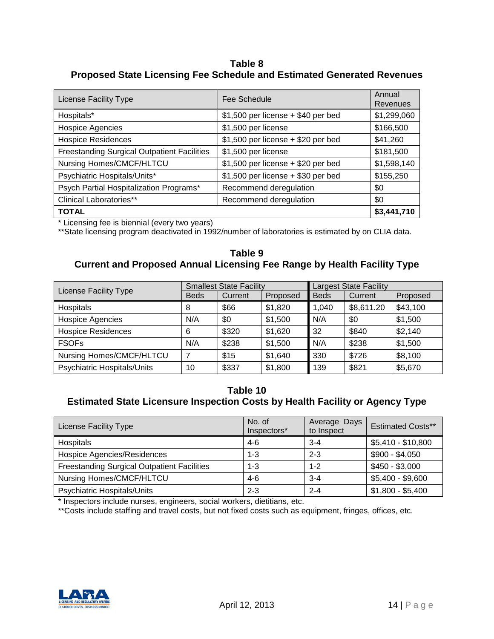#### **Table 8 Proposed State Licensing Fee Schedule and Estimated Generated Revenues**

| <b>License Facility Type</b>                       | Fee Schedule                        | Annual<br>Revenues |
|----------------------------------------------------|-------------------------------------|--------------------|
| Hospitals*                                         | $$1,500$ per license + \$40 per bed | \$1,299,060        |
| <b>Hospice Agencies</b>                            | \$1,500 per license                 | \$166,500          |
| <b>Hospice Residences</b>                          | $$1,500$ per license + \$20 per bed | \$41,260           |
| <b>Freestanding Surgical Outpatient Facilities</b> | \$1,500 per license                 | \$181,500          |
| Nursing Homes/CMCF/HLTCU                           | $$1,500$ per license + \$20 per bed | \$1,598,140        |
| Psychiatric Hospitals/Units*                       | $$1,500$ per license + \$30 per bed | \$155,250          |
| Psych Partial Hospitalization Programs*            | Recommend deregulation              | \$0                |
| <b>Clinical Laboratories**</b>                     | Recommend deregulation              | \$0                |
| <b>TOTAL</b>                                       |                                     | \$3,441,710        |

\* Licensing fee is biennial (every two years)

\*\*State licensing program deactivated in 1992/number of laboratories is estimated by on CLIA data.

#### **Table 9 Current and Proposed Annual Licensing Fee Range by Health Facility Type**

| License Facility Type       | <b>Smallest State Facility</b> |         | <b>Largest State Facility</b> |             |            |          |
|-----------------------------|--------------------------------|---------|-------------------------------|-------------|------------|----------|
|                             | <b>Beds</b>                    | Current | Proposed                      | <b>Beds</b> | Current    | Proposed |
| Hospitals                   | 8                              | \$66    | \$1,820                       | 1,040       | \$8,611.20 | \$43,100 |
| Hospice Agencies            | N/A                            | \$0     | \$1,500                       | N/A         | \$0        | \$1,500  |
| <b>Hospice Residences</b>   | 6                              | \$320   | \$1,620                       | 32          | \$840      | \$2,140  |
| <b>FSOFs</b>                | N/A                            | \$238   | \$1,500                       | N/A         | \$238      | \$1,500  |
| Nursing Homes/CMCF/HLTCU    | 7                              | \$15    | \$1,640                       | 330         | \$726      | \$8,100  |
| Psychiatric Hospitals/Units | 10                             | \$337   | \$1,800                       | 139         | \$821      | \$5,670  |

#### **Table 10 Estimated State Licensure Inspection Costs by Health Facility or Agency Type**

| License Facility Type                              | No. of<br>Inspectors* | Average Days<br>to Inspect | <b>Estimated Costs**</b> |
|----------------------------------------------------|-----------------------|----------------------------|--------------------------|
| Hospitals                                          | $4-6$                 | $3 - 4$                    | \$5,410 - \$10,800       |
| Hospice Agencies/Residences                        | $1 - 3$               | $2 - 3$                    | $$900 - $4,050$          |
| <b>Freestanding Surgical Outpatient Facilities</b> | $1 - 3$               | $1 - 2$                    | $$450 - $3,000$          |
| Nursing Homes/CMCF/HLTCU                           | $4-6$                 | $3 - 4$                    | $$5,400 - $9,600$        |
| Psychiatric Hospitals/Units                        | $2 - 3$               | $2 - 4$                    | $$1,800 - $5,400$        |

\* Inspectors include nurses, engineers, social workers, dietitians, etc.

\*\*Costs include staffing and travel costs, but not fixed costs such as equipment, fringes, offices, etc.

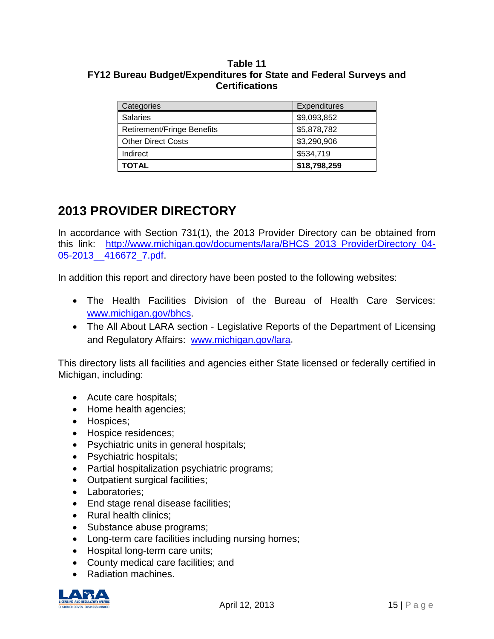#### **Table 11 FY12 Bureau Budget/Expenditures for State and Federal Surveys and Certifications**

| Categories                 | <b>Expenditures</b> |
|----------------------------|---------------------|
| <b>Salaries</b>            | \$9,093,852         |
| Retirement/Fringe Benefits | \$5,878,782         |
| <b>Other Direct Costs</b>  | \$3,290,906         |
| Indirect                   | \$534,719           |
| <b>TOTAL</b>               | \$18,798,259        |

# **2013 PROVIDER DIRECTORY**

In accordance with Section 731(1), the 2013 Provider Directory can be obtained from this link: [http://www.michigan.gov/documents/lara/BHCS\\_2013\\_ProviderDirectory\\_04-](http://www.michigan.gov/documents/lara/BHCS_2013_ProviderDirectory_04-05-2013__416672_7.pdf) [05-2013\\_\\_416672\\_7.pdf.](http://www.michigan.gov/documents/lara/BHCS_2013_ProviderDirectory_04-05-2013__416672_7.pdf)

In addition this report and directory have been posted to the following websites:

- The Health Facilities Division of the Bureau of Health Care Services: [www.michigan.gov/bhcs.](http://www.michigan.gov/bhcs)
- The All About LARA section Legislative Reports of the Department of Licensing and Regulatory Affairs: [www.michigan.gov/lara.](http://www.michigan.gov/lara)

This directory lists all facilities and agencies either State licensed or federally certified in Michigan, including:

- Acute care hospitals;
- Home health agencies;
- Hospices;
- Hospice residences;
- Psychiatric units in general hospitals;
- Psychiatric hospitals;
- Partial hospitalization psychiatric programs;
- Outpatient surgical facilities;
- Laboratories;
- End stage renal disease facilities;
- Rural health clinics;
- Substance abuse programs;
- Long-term care facilities including nursing homes;
- Hospital long-term care units;
- County medical care facilities; and
- Radiation machines.

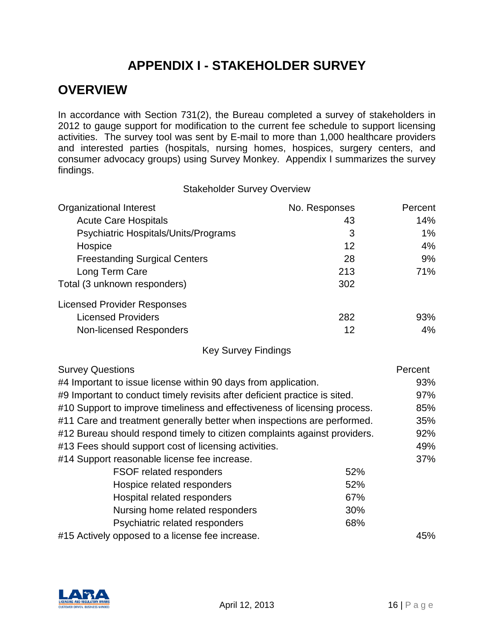# **APPENDIX I - STAKEHOLDER SURVEY**

### <span id="page-15-0"></span>**OVERVIEW**

In accordance with Section 731(2), the Bureau completed a survey of stakeholders in 2012 to gauge support for modification to the current fee schedule to support licensing activities. The survey tool was sent by E-mail to more than 1,000 healthcare providers and interested parties (hospitals, nursing homes, hospices, surgery centers, and consumer advocacy groups) using Survey Monkey. Appendix I summarizes the survey findings.

Stakeholder Survey Overview

| <b>Organizational Interest</b>       | No. Responses | Percent |
|--------------------------------------|---------------|---------|
| <b>Acute Care Hospitals</b>          | 43            | 14%     |
| Psychiatric Hospitals/Units/Programs | 3             | $1\%$   |
| Hospice                              | 12            | 4%      |
| <b>Freestanding Surgical Centers</b> | 28            | 9%      |
| Long Term Care                       | 213           | 71%     |
| Total (3 unknown responders)         | 302           |         |
| <b>Licensed Provider Responses</b>   |               |         |
| <b>Licensed Providers</b>            | 282           | 93%     |
| <b>Non-licensed Responders</b>       | 12            | 4%      |

Key Survey Findings

| <b>Survey Questions</b>                                                    |     | Percent |
|----------------------------------------------------------------------------|-----|---------|
| #4 Important to issue license within 90 days from application.             |     | 93%     |
| #9 Important to conduct timely revisits after deficient practice is sited. |     | 97%     |
| #10 Support to improve timeliness and effectiveness of licensing process.  |     | 85%     |
| #11 Care and treatment generally better when inspections are performed.    |     | 35%     |
| #12 Bureau should respond timely to citizen complaints against providers.  |     | 92%     |
| #13 Fees should support cost of licensing activities.                      |     | 49%     |
| #14 Support reasonable license fee increase.                               |     | 37%     |
| <b>FSOF related responders</b>                                             | 52% |         |
| Hospice related responders                                                 | 52% |         |
| Hospital related responders                                                | 67% |         |
| Nursing home related responders                                            | 30% |         |
| Psychiatric related responders                                             | 68% |         |
| #15 Actively opposed to a license fee increase.                            |     | 45%     |

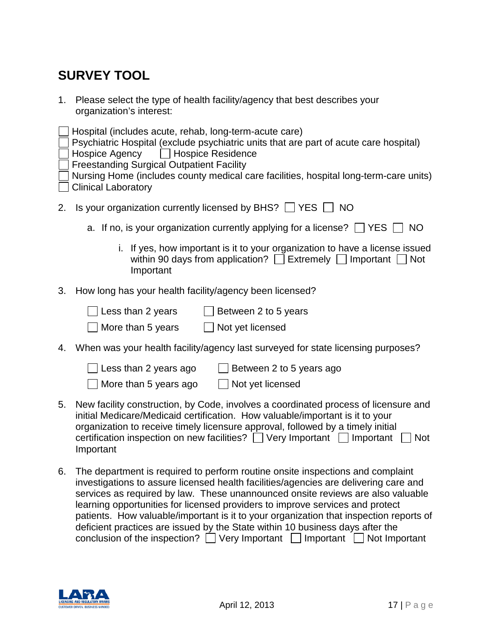# **SURVEY TOOL**

1. Please select the type of health facility/agency that best describes your organization's interest:

|    | Hospital (includes acute, rehab, long-term-acute care)<br>Psychiatric Hospital (exclude psychiatric units that are part of acute care hospital)<br>Hospice Agency   Hospice Residence<br><b>Freestanding Surgical Outpatient Facility</b><br>Nursing Home (includes county medical care facilities, hospital long-term-care units)<br><b>Clinical Laboratory</b> |  |  |  |
|----|------------------------------------------------------------------------------------------------------------------------------------------------------------------------------------------------------------------------------------------------------------------------------------------------------------------------------------------------------------------|--|--|--|
| 2. | Is your organization currently licensed by BHS? $\Box$ YES $\Box$ NO                                                                                                                                                                                                                                                                                             |  |  |  |
|    | a. If no, is your organization currently applying for a license? $\Box$ YES $\Box$<br>NO                                                                                                                                                                                                                                                                         |  |  |  |
|    | i. If yes, how important is it to your organization to have a license issued<br>within 90 days from application? $\Box$ Extremely $\Box$ Important $\Box$ Not<br>Important                                                                                                                                                                                       |  |  |  |
| 3. | How long has your health facility/agency been licensed?                                                                                                                                                                                                                                                                                                          |  |  |  |
|    | Less than 2 years<br>Between 2 to 5 years<br>More than 5 years<br>Not yet licensed                                                                                                                                                                                                                                                                               |  |  |  |
| 4. | When was your health facility/agency last surveyed for state licensing purposes?                                                                                                                                                                                                                                                                                 |  |  |  |
|    |                                                                                                                                                                                                                                                                                                                                                                  |  |  |  |

| $\Box$ Less than 2 years ago | Between 2 to 5 years ago |
|------------------------------|--------------------------|
| $\Box$ More than 5 years ago | $\Box$ Not yet licensed  |

- 5. New facility construction, by Code, involves a coordinated process of licensure and initial Medicare/Medicaid certification. How valuable/important is it to your organization to receive timely licensure approval, followed by a timely initial certification inspection on new facilities?  $\Box$  Very Important  $\Box$  Important  $\Box$  Not Important
- 6. The department is required to perform routine onsite inspections and complaint investigations to assure licensed health facilities/agencies are delivering care and services as required by law. These unannounced onsite reviews are also valuable learning opportunities for licensed providers to improve services and protect patients. How valuable/important is it to your organization that inspection reports of deficient practices are issued by the State within 10 business days after the conclusion of the inspection?  $\Box$  Very Important  $\Box$  Important  $\Box$  Not Important